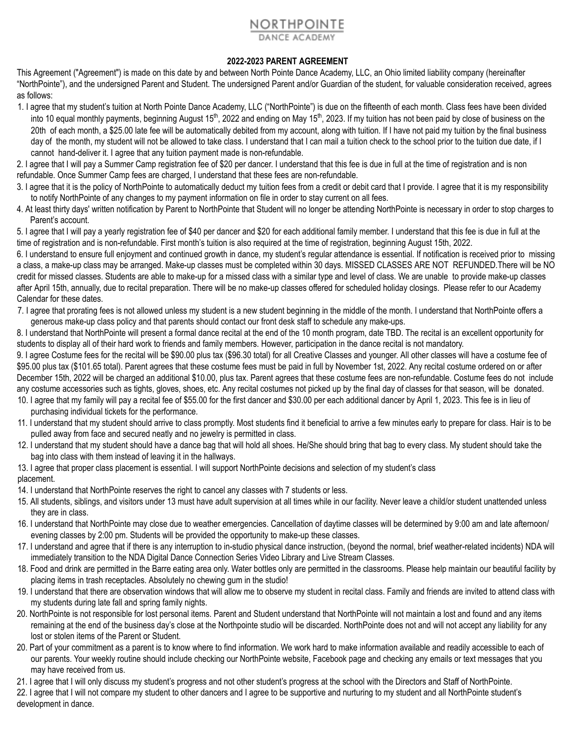## NORTHPOINTE

## **2022-2023 PARENT AGREEMENT**

This Agreement ("Agreement") is made on this date by and between North Pointe Dance Academy, LLC, an Ohio limited liability company (hereinafter "NorthPointe"), and the undersigned Parent and Student. The undersigned Parent and/or Guardian of the student, for valuable consideration received, agrees as follows:

1. I agree that my student's tuition at North Pointe Dance Academy, LLC ("NorthPointe") is due on the fifteenth of each month. Class fees have been divided into 10 equal monthly payments, beginning August 15<sup>th</sup>, 2022 and ending on May 15<sup>th</sup>, 2023. If my tuition has not been paid by close of business on the 20th of each month, a \$25.00 late fee will be automatically debited from my account, along with tuition. If I have not paid my tuition by the final business day of the month, my student will not be allowed to take class. I understand that I can mail a tuition check to the school prior to the tuition due date, if I cannot hand-deliver it. I agree that any tuition payment made is non-refundable.

2. I agree that I will pay a Summer Camp registration fee of \$20 per dancer. I understand that this fee is due in full at the time of registration and is non refundable. Once Summer Camp fees are charged, I understand that these fees are non-refundable.

- 3. I agree that it is the policy of NorthPointe to automatically deduct my tuition fees from a credit or debit card that I provide. I agree that it is my responsibility to notify NorthPointe of any changes to my payment information on file in order to stay current on all fees.
- 4. At least thirty days' written notification by Parent to NorthPointe that Student will no longer be attending NorthPointe is necessary in order to stop charges to Parent's account.

5. I agree that I will pay a yearly registration fee of \$40 per dancer and \$20 for each additional family member. I understand that this fee is due in full at the time of registration and is non-refundable. First month's tuition is also required at the time of registration, beginning August 15th, 2022.

6. I understand to ensure full enjoyment and continued growth in dance, my student's regular attendance is essential. If notification is received prior to missing a class, a make-up class may be arranged. Make-up classes must be completed within 30 days. MISSED CLASSES ARE NOT REFUNDED.There will be NO credit for missed classes. Students are able to make-up for a missed class with a similar type and level of class. We are unable to provide make-up classes after April 15th, annually, due to recital preparation. There will be no make-up classes offered for scheduled holiday closings. Please refer to our Academy Calendar for these dates.

7. I agree that prorating fees is not allowed unless my student is a new student beginning in the middle of the month. I understand that NorthPointe offers a generous make-up class policy and that parents should contact our front desk staff to schedule any make-ups.

8. I understand that NorthPointe will present a formal dance recital at the end of the 10 month program, date TBD. The recital is an excellent opportunity for students to display all of their hard work to friends and family members. However, participation in the dance recital is not mandatory.

9. I agree Costume fees for the recital will be \$90.00 plus tax (\$96.30 total) for all Creative Classes and younger. All other classes will have a costume fee of \$95.00 plus tax (\$101.65 total). Parent agrees that these costume fees must be paid in full by November 1st, 2022. Any recital costume ordered on or after December 15th, 2022 will be charged an additional \$10.00, plus tax. Parent agrees that these costume fees are non-refundable. Costume fees do not include any costume accessories such as tights, gloves, shoes, etc. Any recital costumes not picked up by the final day of classes for that season, will be donated. 10. I agree that my family will pay a recital fee of \$55.00 for the first dancer and \$30.00 per each additional dancer by April 1, 2023. This fee is in lieu of

- purchasing individual tickets for the performance.
- 11. I understand that my student should arrive to class promptly. Most students find it beneficial to arrive a few minutes early to prepare for class. Hair is to be pulled away from face and secured neatly and no jewelry is permitted in class.
- 12. I understand that my student should have a dance bag that will hold all shoes. He/She should bring that bag to every class. My student should take the bag into class with them instead of leaving it in the hallways.
- 13. I agree that proper class placement is essential. I will support NorthPointe decisions and selection of my student's class placement.
- 14. I understand that NorthPointe reserves the right to cancel any classes with 7 students or less.
- 15. All students, siblings, and visitors under 13 must have adult supervision at all times while in our facility. Never leave a child/or student unattended unless they are in class.
- 16. I understand that NorthPointe may close due to weather emergencies. Cancellation of daytime classes will be determined by 9:00 am and late afternoon/ evening classes by 2:00 pm. Students will be provided the opportunity to make-up these classes.
- 17. I understand and agree that if there is any interruption to in-studio physical dance instruction, (beyond the normal, brief weather-related incidents) NDA will immediately transition to the NDA Digital Dance Connection Series Video Library and Live Stream Classes.
- 18. Food and drink are permitted in the Barre eating area only. Water bottles only are permitted in the classrooms. Please help maintain our beautiful facility by placing items in trash receptacles. Absolutely no chewing gum in the studio!
- 19. I understand that there are observation windows that will allow me to observe my student in recital class. Family and friends are invited to attend class with my students during late fall and spring family nights.
- 20. NorthPointe is not responsible for lost personal items. Parent and Student understand that NorthPointe will not maintain a lost and found and anv items remaining at the end of the business day's close at the Northpointe studio will be discarded. NorthPointe does not and will not accept any liability for any lost or stolen items of the Parent or Student.
- 20. Part of your commitment as a parent is to know where to find information. We work hard to make information available and readily accessible to each of our parents. Your weekly routine should include checking our NorthPointe website, Facebook page and checking any emails or text messages that you may have received from us.
- 21. I agree that I will only discuss my student's progress and not other student's progress at the school with the Directors and Staff of NorthPointe.
- 22. I agree that I will not compare my student to other dancers and I agree to be supportive and nurturing to my student and all NorthPointe student's development in dance.